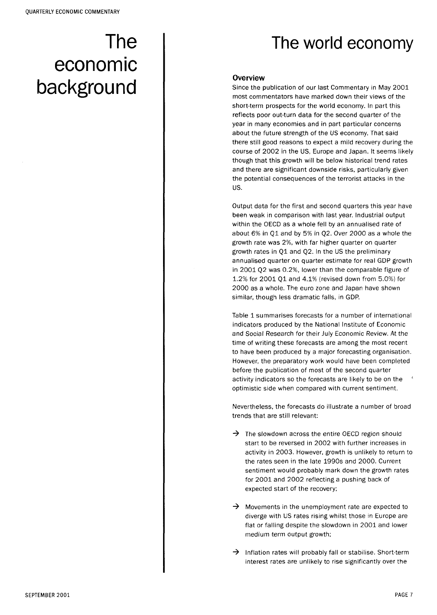# The economic background

# The world economy

## **Overview**

Since the publication of our last Commentary in May 2001 most commentators have marked down their views of the short-term prospects for the world economy. In part this reflects poor out-turn data for the second quarter of the year in many economies and in part particular concerns about the future strength of the US economy. That said there still good reasons to expect a mild recovery during the course of 2002 in the US, Europe and Japan. It seems likely though that this growth will be below historical trend rates and there are significant downside risks, particularly given the potential consequences of the terrorist attacks in the US.

Output data for the first and second quarters this year have been weak in comparison with last year. Industrial output within the OECD as a whole fell by an annualised rate of about 6% in Q1 and by 5% in Q2. Over 2000 as a whole the growth rate was 2%, with far higher quarter on quarter growth rates in Q1 and Q2. In the US the preliminary annualised quarter on quarter estimate for real GDP growth in 2001 Q2 was 0.2%, lower than the comparable figure of 1.2% for 2001 Q1 and 4.1% (revised down from 5.0%) for 2000 as a whole. The euro zone and Japan have shown similar, though less dramatic falls, in GDP.

Table 1 summarises forecasts for a number of international indicators produced by the National Institute of Economic and Social Research for their July Economic Review. At the time of writing these forecasts are among the most recent to have been produced by a major forecasting organisation. However, the preparatory work would have been completed before the publication of most of the second quarter activity indicators so the forecasts are likely to be on the ' optimistic side when compared with current sentiment.

Nevertheless, the forecasts do illustrate a number of broad trends that are still relevant:

- $\rightarrow$  The slowdown across the entire OECD region should start to be reversed in 2002 with further increases in activity in 2003. However, growth is unlikely to return to the rates seen in the late 1990s and 2000. Current sentiment would probably mark down the growth rates for 2001 and 2002 reflecting a pushing back of expected start of the recovery;
- $\rightarrow$  Movements in the unemployment rate are expected to diverge with US rates rising whilst those in Europe are flat or falling despite the slowdown in 2001 and lower medium term output growth;
- $\rightarrow$  Inflation rates will probably fall or stabilise. Short-term interest rates are unlikely to rise significantly over the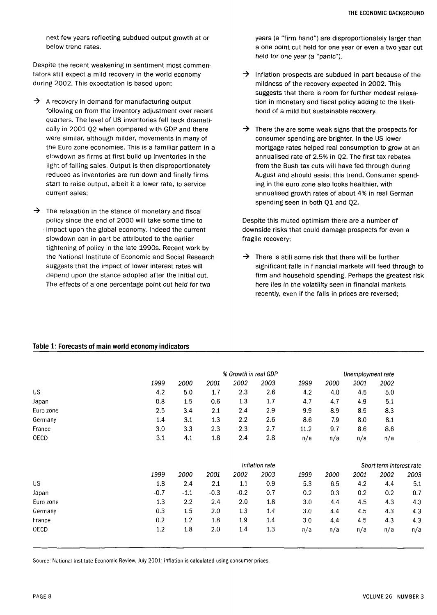next few years reflecting subdued output growth at or below trend rates.

Despite the recent weakening in sentiment most commentators still expect a mild recovery in the world economy during 2002. This expectation is based upon:

- $\rightarrow$  A recovery in demand for manufacturing output following on from the inventory adjustment over recent quarters. The level of US inventories fell back dramatically in 2001 Q2 when compared with GDP and there were similar, although milder, movements in many of the Euro zone economies. This is a familiar pattern in a slowdown as firms at first build up inventories in the light of falling sales. Output is then disproportionately reduced as inventories are run down and finally firms start to raise output, albeit it a lower rate, to service current sales;
- $\rightarrow$  The relaxation in the stance of monetary and fiscal policy since the end of 2000 will take some time to impact upon the global economy. Indeed the current slowdown can in part be attributed to the earlier tightening of policy in the late 1990s . Recent work by the National Institute of Economic and Social Research suggests that the impact of lower interest rates will depend upon the stance adopted after the initial cut. The effects of a one percentage point cut held for two

years (a "firm hand") are disproportionately larger than a one point cut held for one year or even a two year cut held for one year (a "panic").

- $\rightarrow$  Inflation prospects are subdued in part because of the mildness of the recovery expected in 2002. This suggests that there is room for further modest relaxation in monetary and fiscal policy adding to the likelihood of a mild but sustainable recovery.
- $\rightarrow$  There the are some weak signs that the prospects for consumer spending are brighter. In the US lower mortgage rates helped real consumption to grow at an annualised rate of 2.5% in Q2. The first tax rebates from the Bush tax cuts will have fed through during August and should assist this trend. Consumer spending in the euro zone also looks healthier, with annualised growth rates of about 4% in real German spending seen in both Q1 and Q2.

Despite this muted optimism there are a number of downside risks that could damage prospects for even a fragile recovery:

 $\rightarrow$  There is still some risk that there will be further significant falls in financial markets will feed through to firm and household spending. Perhaps the greatest risk here lies in the volatility seen in financial markets recently, even if the falls in prices are reversed;

#### **Table 1: Forecasts of main world economy indicators**

|           | % Growth in real GDP |                |        |        |      |      | Unemployment rate |                          |      |      |  |
|-----------|----------------------|----------------|--------|--------|------|------|-------------------|--------------------------|------|------|--|
|           | 1999                 | 2000           | 2001   | 2002   | 2003 | 1999 | 2000              | 2001                     | 2002 |      |  |
| <b>US</b> | 4.2                  | 5.0            | 1.7    | 2.3    | 2.6  | 4.2  | 4.0               | 4.5                      | 5.0  |      |  |
| Japan     | 0.8                  | 1.5            | 0.6    | 1.3    | 1.7  | 4.7  | 4.7               | 4.9                      | 5.1  |      |  |
| Euro zone | 2.5                  | 3.4            | 2.1    | 2.4    | 2.9  | 9.9  | 8.9               | 8.5                      | 8.3  |      |  |
| Germany   | 1.4                  | 3.1            | 1.3    | 2.2    | 2.6  | 8.6  | 7.9               | 8.0                      | 8.1  |      |  |
| France    | 3.0                  | 3.3            | 2.3    | 2.3    | 2.7  | 11.2 | 9.7               | 8.6                      | 8.6  |      |  |
| OECD      | 3.1                  | 4.1            | 1.8    | 2.4    | 2.8  | n/a  | n/a               | n/a                      | n/a  |      |  |
|           |                      | Inflation rate |        |        |      |      |                   | Short term interest rate |      |      |  |
|           | 1999                 | 2000           | 2001   | 2002   | 2003 | 1999 | 2000              | 2001                     | 2002 | 2003 |  |
| <b>US</b> | 1.8                  | 2.4            | 2.1    | 1.1    | 0.9  | 5.3  | 6.5               | 4.2                      | 4.4  | 5.1  |  |
| Japan     | $-0.7$               | $-1.1$         | $-0.3$ | $-0.2$ | 0.7  | 0.2  | 0.3               | 0.2                      | 0.2  | 0.7  |  |
| Euro zone | 1.3                  | 2.2            | 2.4    | 2.0    | 1.8  | 3.0  | 4.4               | 4.5                      | 4.3  | 4.3  |  |
| Germany   | 0.3                  | 1.5            | 2.0    | 1.3    | 1.4  | 3.0  | 4.4               | 4.5                      | 4.3  | 4.3  |  |
| France    | 0.2                  | 1.2            | 1.8    | 1.9    | 1.4  | 3.0  | 4.4               | 4.5                      | 4.3  | 4.3  |  |
| OECD      | 1.2                  | 1.8            | 2.0    | 1.4    | 1.3  | n/a  | n/a               | n/a                      | n/a  | n/a  |  |

Source: National Institute Economic Review, July 2001; inflation is calculated using consumer prices.